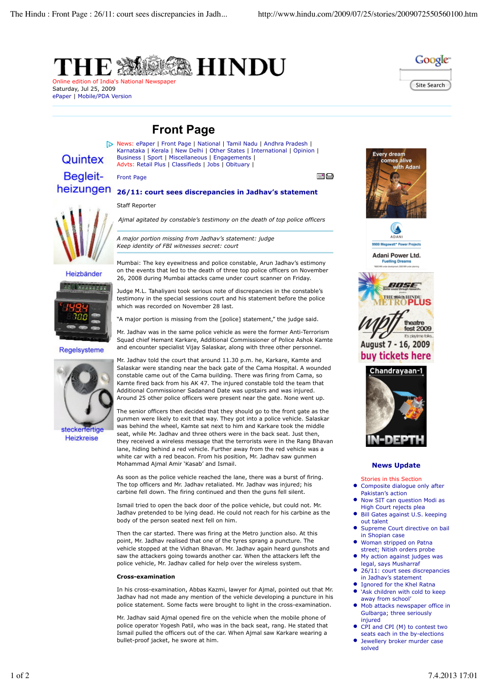



Saturday, Jul 25, 2009 ePaper | Mobile/PDA Version

## **Front Page**

# Quintex **Begleit**heizungen

Front Page



Heizbänder



#### Regelsysteme



steckerfertige **Heizkreise** 

News: ePaper | Front Page | National | Tamil Nadu | Andhra Pradesh | Karnataka | Kerala | New Delhi | Other States | International | Opinion | Business | Sport | Miscellaneous | Engagements | Advts: Retail Plus | Classifieds | Jobs | Obituary |

### **26/11: court sees discrepancies in Jadhav's statement**

Staff Reporter

*Ajmal agitated by constable's testimony on the death of top police officers*

*A major portion missing from Jadhav's statement: judge Keep identity of FBI witnesses secret: court*

Mumbai: The key eyewitness and police constable, Arun Jadhav's estimony on the events that led to the death of three top police officers on November 26, 2008 during Mumbai attacks came under court scanner on Friday.

Judge M.L. Tahaliyani took serious note of discrepancies in the constable's testimony in the special sessions court and his statement before the police which was recorded on November 28 last.

"A major portion is missing from the [police] statement," the judge said.

Mr. Jadhav was in the same police vehicle as were the former Anti-Terrorism Squad chief Hemant Karkare, Additional Commissioner of Police Ashok Kamte and encounter specialist Vijay Salaskar, along with three other personnel.

Mr. Jadhav told the court that around 11.30 p.m. he, Karkare, Kamte and Salaskar were standing near the back gate of the Cama Hospital. A wounded constable came out of the Cama building. There was firing from Cama, so Kamte fired back from his AK 47. The injured constable told the team that Additional Commissioner Sadanand Date was upstairs and was injured. Around 25 other police officers were present near the gate. None went up.

The senior officers then decided that they should go to the front gate as the gunmen were likely to exit that way. They got into a police vehicle. Salaskar was behind the wheel, Kamte sat next to him and Karkare took the middle seat, while Mr. Jadhav and three others were in the back seat. Just then, they received a wireless message that the terrorists were in the Rang Bhavan lane, hiding behind a red vehicle. Further away from the red vehicle was a white car with a red beacon. From his position, Mr. Jadhav saw gunmen Mohammad Ajmal Amir 'Kasab' and Ismail.

As soon as the police vehicle reached the lane, there was a burst of firing. The top officers and Mr. Jadhav retaliated. Mr. Jadhav was injured; his carbine fell down. The firing continued and then the guns fell silent.

Ismail tried to open the back door of the police vehicle, but could not. Mr. Jadhav pretended to be lying dead. He could not reach for his carbine as the body of the person seated next fell on him.

Then the car started. There was firing at the Metro junction also. At this point, Mr. Jadhav realised that one of the tyres sprang a puncture. The vehicle stopped at the Vidhan Bhavan. Mr. Jadhav again heard gunshots and saw the attackers going towards another car. When the attackers left the police vehicle, Mr. Jadhav called for help over the wireless system.

#### **Cross-examination**

In his cross-examination, Abbas Kazmi, lawyer for Ajmal, pointed out that Mr. Jadhav had not made any mention of the vehicle developing a puncture in his police statement. Some facts were brought to light in the cross-examination.

Mr. Jadhav said Ajmal opened fire on the vehicle when the mobile phone of police operator Yogesh Patil, who was in the back seat, rang. He stated that Ismail pulled the officers out of the car. When Ajmal saw Karkare wearing a bullet-proof jacket, he swore at him.



≣" ⊟



Adani Power Ltd. **Fuelling Drear** 





#### **News Update**

- Stories in this Section
- Composite dialogue only after Pakistan's action
- Now SIT can question Modi as High Court rejects plea
- Bill Gates against U.S. keeping out talent
- Supreme Court directive on bail in Shopian case
- Woman stripped on Patna street; Nitish orders probe
- My action against judges was legal, says Musharraf
- 26/11: court sees discrepancies in Jadhav's statement
- Ignored for the Khel Ratna  $\bullet$
- 'Ask children with cold to keep away from school' Mob attacks newspaper office in
- Gulbarga; three seriously injured
- CPI and CPI (M) to contest two seats each in the by-elections
- Jewellery broker murder case solved